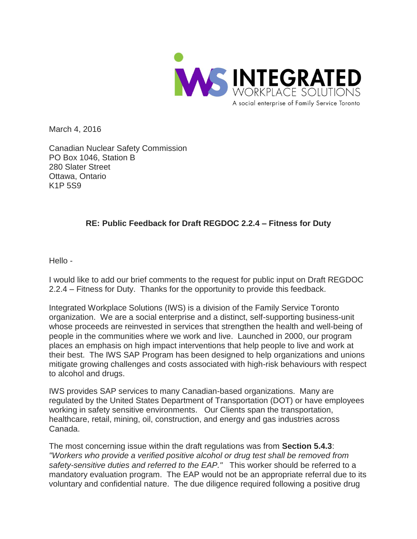

March 4, 2016

Canadian Nuclear Safety Commission PO Box 1046, Station B 280 Slater Street Ottawa, Ontario K1P 5S9

## **RE: Public Feedback for Draft REGDOC 2.2.4 – Fitness for Duty**

Hello -

I would like to add our brief comments to the request for public input on Draft REGDOC 2.2.4 – Fitness for Duty. Thanks for the opportunity to provide this feedback.

Integrated Workplace Solutions (IWS) is a division of the Family Service Toronto organization. We are a social enterprise and a distinct, self-supporting business-unit whose proceeds are reinvested in services that strengthen the health and well-being of people in the communities where we work and live. Launched in 2000, our program places an emphasis on high impact interventions that help people to live and work at their best. The IWS SAP Program has been designed to help organizations and unions mitigate growing challenges and costs associated with high-risk behaviours with respect to alcohol and drugs.

IWS provides SAP services to many Canadian-based organizations. Many are regulated by the United States Department of Transportation (DOT) or have employees working in safety sensitive environments. Our Clients span the transportation, healthcare, retail, mining, oil, construction, and energy and gas industries across Canada.

The most concerning issue within the draft regulations was from **Section 5.4.3**: *"Workers who provide a verified positive alcohol or drug test shall be removed from safety-sensitive duties and referred to the EAP."* This worker should be referred to a mandatory evaluation program. The EAP would not be an appropriate referral due to its voluntary and confidential nature. The due diligence required following a positive drug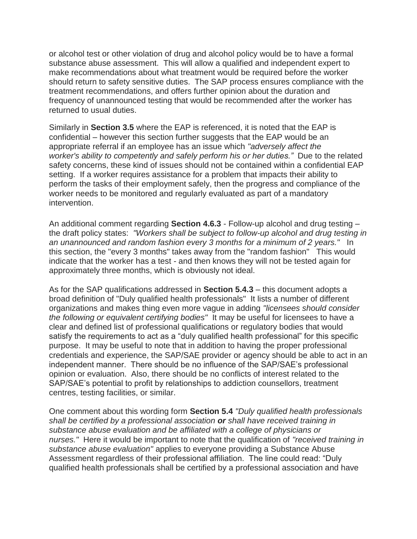or alcohol test or other violation of drug and alcohol policy would be to have a formal substance abuse assessment. This will allow a qualified and independent expert to make recommendations about what treatment would be required before the worker should return to safety sensitive duties. The SAP process ensures compliance with the treatment recommendations, and offers further opinion about the duration and frequency of unannounced testing that would be recommended after the worker has returned to usual duties.

Similarly in **Section 3.5** where the EAP is referenced, it is noted that the EAP is confidential – however this section further suggests that the EAP would be an appropriate referral if an employee has an issue which *"adversely affect the worker's ability to competently and safely perform his or her duties."* Due to the related safety concerns, these kind of issues should not be contained within a confidential EAP setting. If a worker requires assistance for a problem that impacts their ability to perform the tasks of their employment safely, then the progress and compliance of the worker needs to be monitored and regularly evaluated as part of a mandatory intervention.

An additional comment regarding **Section 4.6.3** - Follow-up alcohol and drug testing – the draft policy states: *"Workers shall be subject to follow-up alcohol and drug testing in an unannounced and random fashion every 3 months for a minimum of 2 years."* In this section, the "every 3 months" takes away from the "random fashion" This would indicate that the worker has a test - and then knows they will not be tested again for approximately three months, which is obviously not ideal.

As for the SAP qualifications addressed in **Section 5.4.3** – this document adopts a broad definition of "Duly qualified health professionals" It lists a number of different organizations and makes thing even more vague in adding *"licensees should consider the following or equivalent certifying bodies"* It may be useful for licensees to have a clear and defined list of professional qualifications or regulatory bodies that would satisfy the requirements to act as a "duly qualified health professional" for this specific purpose. It may be useful to note that in addition to having the proper professional credentials and experience, the SAP/SAE provider or agency should be able to act in an independent manner. There should be no influence of the SAP/SAE's professional opinion or evaluation. Also, there should be no conflicts of interest related to the SAP/SAE's potential to profit by relationships to addiction counsellors, treatment centres, testing facilities, or similar.

One comment about this wording form **Section 5.4** *"Duly qualified health professionals shall be certified by a professional association or shall have received training in substance abuse evaluation and be affiliated with a college of physicians or nurses."* Here it would be important to note that the qualification of *"received training in substance abuse evaluation"* applies to everyone providing a Substance Abuse Assessment regardless of their professional affiliation. The line could read: "Duly qualified health professionals shall be certified by a professional association and have